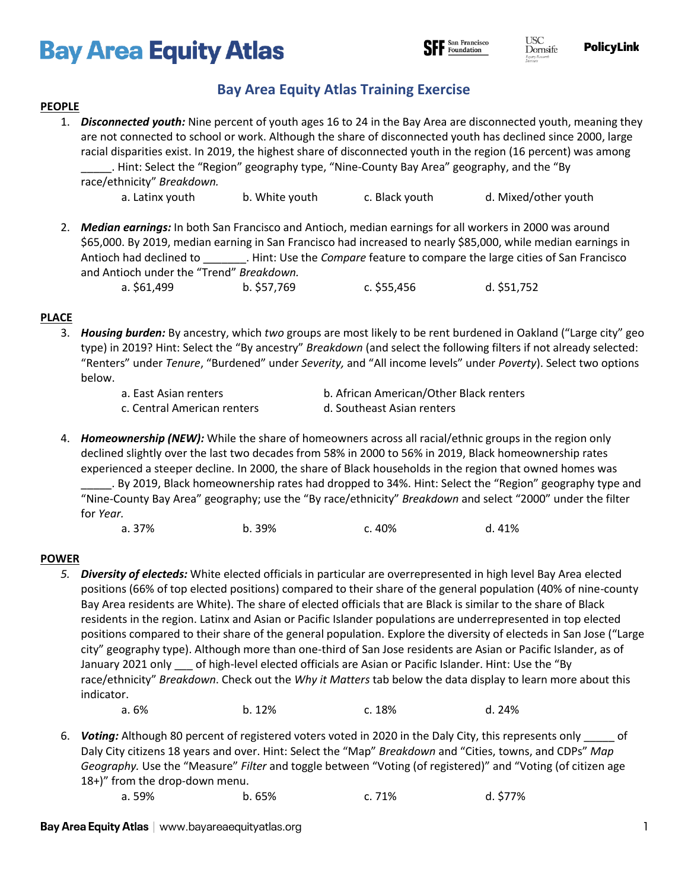# **Bay Area Equity Atlas**



**PolicyLink** 

# **Bay Area Equity Atlas Training Exercise**

#### **PEOPLE**

- 1. *Disconnected youth:* Nine percent of youth ages 16 to 24 in the Bay Area are disconnected youth, meaning they are not connected to school or work. Although the share of disconnected youth has declined since 2000, large racial disparities exist. In 2019, the highest share of disconnected youth in the region (16 percent) was among \_\_\_\_\_. Hint: Select the "Region" geography type, "Nine-County Bay Area" geography, and the "By race/ethnicity" *Breakdown.* a. Latinx youth b. White youth c. Black youth d. Mixed/other youth
- 2. *Median earnings:* In both San Francisco and Antioch, median earnings for all workers in 2000 was around \$65,000. By 2019, median earning in San Francisco had increased to nearly \$85,000, while median earnings in Antioch had declined to \_\_\_\_\_\_\_. Hint: Use the *Compare* feature to compare the large cities of San Francisco and Antioch under the "Trend" *Breakdown.* a. \$61,499 b. \$57,769 c. \$55,456 d. \$51,752

## **PLACE**

3. *Housing burden:* By ancestry, which *two* groups are most likely to be rent burdened in Oakland ("Large city" geo type) in 2019? Hint: Select the "By ancestry" *Breakdown* (and select the following filters if not already selected: "Renters" under *Tenure*, "Burdened" under *Severity,* and "All income levels" under *Poverty*). Select two options below.

a. East Asian renters b. African American/Other Black renters c. Central American renters d. Southeast Asian renters

- 4. *Homeownership (NEW):* While the share of homeowners across all racial/ethnic groups in the region only declined slightly over the last two decades from 58% in 2000 to 56% in 2019, Black homeownership rates experienced a steeper decline. In 2000, the share of Black households in the region that owned homes was \_\_\_\_\_. By 2019, Black homeownership rates had dropped to 34%. Hint: Select the "Region" geography type and "Nine-County Bay Area" geography; use the "By race/ethnicity" *Breakdown* and select "2000" under the filter for *Year.*
	- a. 37% b. 39% c. 40% d. 41%

## **POWER**

- *5. Diversity of electeds:* White elected officials in particular are overrepresented in high level Bay Area elected positions (66% of top elected positions) compared to their share of the general population (40% of nine-county Bay Area residents are White). The share of elected officials that are Black is similar to the share of Black residents in the region. Latinx and Asian or Pacific Islander populations are underrepresented in top elected positions compared to their share of the general population. Explore the diversity of electeds in San Jose ("Large city" geography type). Although more than one-third of San Jose residents are Asian or Pacific Islander, as of January 2021 only \_\_\_ of high-level elected officials are Asian or Pacific Islander. Hint: Use the "By race/ethnicity" *Breakdown*. Check out the *Why it Matters* tab below the data display to learn more about this indicator.
	- a. 6% b. 12% c. 18% d. 24%
- 6. *Voting:* Although 80 percent of registered voters voted in 2020 in the Daly City, this represents only \_\_\_\_\_ of Daly City citizens 18 years and over. Hint: Select the "Map" *Breakdown* and "Cities, towns, and CDPs" *Map Geography.* Use the "Measure" *Filter* and toggle between "Voting (of registered)" and "Voting (of citizen age 18+)" from the drop-down menu.

```
a. 59% b. 65% c. 71% d. $77%
```